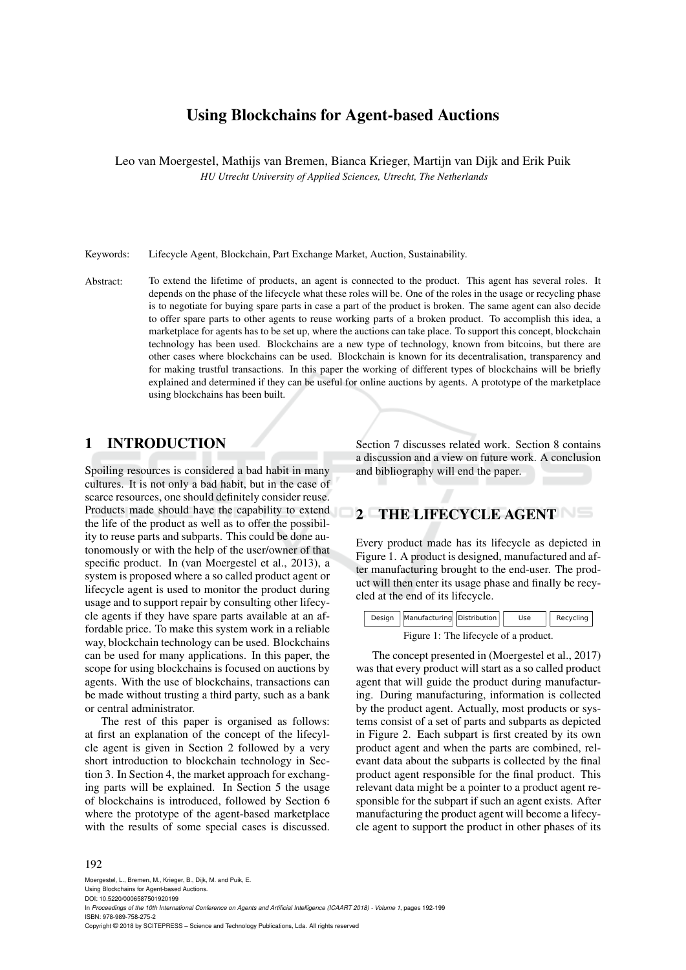# Using Blockchains for Agent-based Auctions

Leo van Moergestel, Mathijs van Bremen, Bianca Krieger, Martijn van Dijk and Erik Puik *HU Utrecht University of Applied Sciences, Utrecht, The Netherlands*

Keywords: Lifecycle Agent, Blockchain, Part Exchange Market, Auction, Sustainability.

Abstract: To extend the lifetime of products, an agent is connected to the product. This agent has several roles. It depends on the phase of the lifecycle what these roles will be. One of the roles in the usage or recycling phase is to negotiate for buying spare parts in case a part of the product is broken. The same agent can also decide to offer spare parts to other agents to reuse working parts of a broken product. To accomplish this idea, a marketplace for agents has to be set up, where the auctions can take place. To support this concept, blockchain technology has been used. Blockchains are a new type of technology, known from bitcoins, but there are other cases where blockchains can be used. Blockchain is known for its decentralisation, transparency and for making trustful transactions. In this paper the working of different types of blockchains will be briefly explained and determined if they can be useful for online auctions by agents. A prototype of the marketplace using blockchains has been built.

## 1 INTRODUCTION

Spoiling resources is considered a bad habit in many cultures. It is not only a bad habit, but in the case of scarce resources, one should definitely consider reuse. Products made should have the capability to extend the life of the product as well as to offer the possibility to reuse parts and subparts. This could be done autonomously or with the help of the user/owner of that specific product. In (van Moergestel et al., 2013), a system is proposed where a so called product agent or lifecycle agent is used to monitor the product during usage and to support repair by consulting other lifecycle agents if they have spare parts available at an affordable price. To make this system work in a reliable way, blockchain technology can be used. Blockchains can be used for many applications. In this paper, the scope for using blockchains is focused on auctions by agents. With the use of blockchains, transactions can be made without trusting a third party, such as a bank or central administrator.

The rest of this paper is organised as follows: at first an explanation of the concept of the lifecylcle agent is given in Section 2 followed by a very short introduction to blockchain technology in Section 3. In Section 4, the market approach for exchanging parts will be explained. In Section 5 the usage of blockchains is introduced, followed by Section 6 where the prototype of the agent-based marketplace with the results of some special cases is discussed.

Section 7 discusses related work. Section 8 contains a discussion and a view on future work. A conclusion and bibliography will end the paper.

## 2 THE LIFECYCLE AGENT

Every product made has its lifecycle as depicted in Figure 1. A product is designed, manufactured and after manufacturing brought to the end-user. The product will then enter its usage phase and finally be recycled at the end of its lifecycle.



The concept presented in (Moergestel et al., 2017) was that every product will start as a so called product agent that will guide the product during manufacturing. During manufacturing, information is collected by the product agent. Actually, most products or systems consist of a set of parts and subparts as depicted in Figure 2. Each subpart is first created by its own product agent and when the parts are combined, relevant data about the subparts is collected by the final product agent responsible for the final product. This relevant data might be a pointer to a product agent responsible for the subpart if such an agent exists. After manufacturing the product agent will become a lifecycle agent to support the product in other phases of its

#### 192

Moergestel, L., Bremen, M., Krieger, B., Dijk, M. and Puik, E. Using Blockchains for Agent-based Auctions. DOI: 10.5220/0006587501920199 In Proceedings of the 10th International Conference on Agents and Artificial Intelligence (ICAART 2018) - Volume 1, pages 192-199 ISBN: 978-989-758-275-2 Copyright © 2018 by SCITEPRESS – Science and Technology Publications, Lda. All rights reserved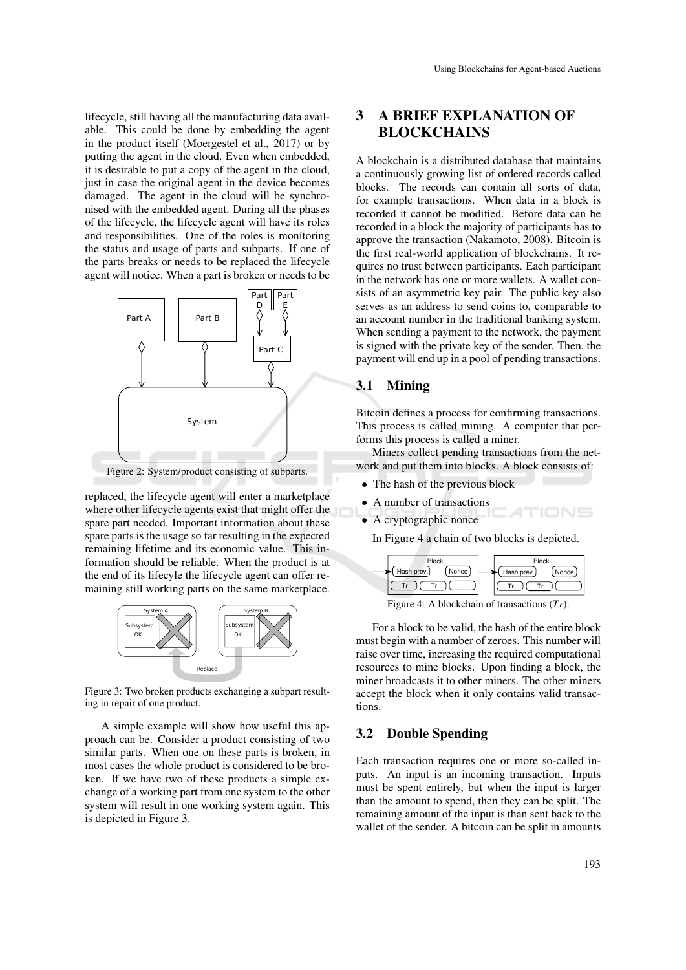lifecycle, still having all the manufacturing data available. This could be done by embedding the agent in the product itself (Moergestel et al., 2017) or by putting the agent in the cloud. Even when embedded, it is desirable to put a copy of the agent in the cloud, just in case the original agent in the device becomes damaged. The agent in the cloud will be synchronised with the embedded agent. During all the phases of the lifecycle, the lifecycle agent will have its roles and responsibilities. One of the roles is monitoring the status and usage of parts and subparts. If one of the parts breaks or needs to be replaced the lifecycle agent will notice. When a part is broken or needs to be



Figure 2: System/product consisting of subparts.

replaced, the lifecycle agent will enter a marketplace where other lifecycle agents exist that might offer the spare part needed. Important information about these spare parts is the usage so far resulting in the expected remaining lifetime and its economic value. This information should be reliable. When the product is at the end of its lifecyle the lifecycle agent can offer remaining still working parts on the same marketplace.



Figure 3: Two broken products exchanging a subpart resulting in repair of one product.

A simple example will show how useful this approach can be. Consider a product consisting of two similar parts. When one on these parts is broken, in most cases the whole product is considered to be broken. If we have two of these products a simple exchange of a working part from one system to the other system will result in one working system again. This is depicted in Figure 3.

# 3 A BRIEF EXPLANATION OF BLOCKCHAINS

A blockchain is a distributed database that maintains a continuously growing list of ordered records called blocks. The records can contain all sorts of data, for example transactions. When data in a block is recorded it cannot be modified. Before data can be recorded in a block the majority of participants has to approve the transaction (Nakamoto, 2008). Bitcoin is the first real-world application of blockchains. It requires no trust between participants. Each participant in the network has one or more wallets. A wallet consists of an asymmetric key pair. The public key also serves as an address to send coins to, comparable to an account number in the traditional banking system. When sending a payment to the network, the payment is signed with the private key of the sender. Then, the payment will end up in a pool of pending transactions.

### 3.1 Mining

Bitcoin defines a process for confirming transactions. This process is called mining. A computer that performs this process is called a miner.

Miners collect pending transactions from the network and put them into blocks. A block consists of:

- The hash of the previous block
- A number of transactions
- A cryptographic nonce

In Figure 4 a chain of two blocks is depicted.



Figure 4: A blockchain of transactions (*Tr*).

For a block to be valid, the hash of the entire block must begin with a number of zeroes. This number will raise over time, increasing the required computational resources to mine blocks. Upon finding a block, the miner broadcasts it to other miners. The other miners accept the block when it only contains valid transactions.

### 3.2 Double Spending

Each transaction requires one or more so-called inputs. An input is an incoming transaction. Inputs must be spent entirely, but when the input is larger than the amount to spend, then they can be split. The remaining amount of the input is than sent back to the wallet of the sender. A bitcoin can be split in amounts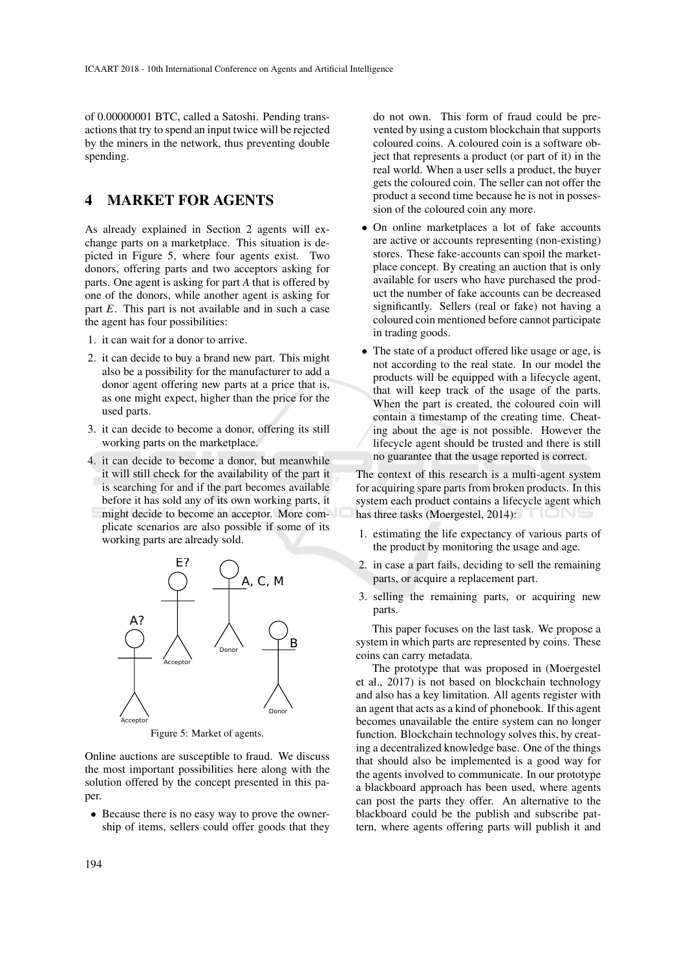of 0.00000001 BTC, called a Satoshi. Pending transactions that try to spend an input twice will be rejected by the miners in the network, thus preventing double spending.

## 4 MARKET FOR AGENTS

As already explained in Section 2 agents will exchange parts on a marketplace. This situation is depicted in Figure 5, where four agents exist. Two donors, offering parts and two acceptors asking for parts. One agent is asking for part *A* that is offered by one of the donors, while another agent is asking for part *E*. This part is not available and in such a case the agent has four possibilities:

- 1. it can wait for a donor to arrive.
- 2. it can decide to buy a brand new part. This might also be a possibility for the manufacturer to add a donor agent offering new parts at a price that is, as one might expect, higher than the price for the used parts.
- 3. it can decide to become a donor, offering its still working parts on the marketplace.
- 4. it can decide to become a donor, but meanwhile it will still check for the availability of the part it is searching for and if the part becomes available before it has sold any of its own working parts, it might decide to become an acceptor. More complicate scenarios are also possible if some of its working parts are already sold.



Figure 5: Market of agents.

Online auctions are susceptible to fraud. We discuss the most important possibilities here along with the solution offered by the concept presented in this paper.

• Because there is no easy way to prove the ownership of items, sellers could offer goods that they do not own. This form of fraud could be prevented by using a custom blockchain that supports coloured coins. A coloured coin is a software object that represents a product (or part of it) in the real world. When a user sells a product, the buyer gets the coloured coin. The seller can not offer the product a second time because he is not in possession of the coloured coin any more.

- On online marketplaces a lot of fake accounts are active or accounts representing (non-existing) stores. These fake-accounts can spoil the marketplace concept. By creating an auction that is only available for users who have purchased the product the number of fake accounts can be decreased significantly. Sellers (real or fake) not having a coloured coin mentioned before cannot participate in trading goods.
- The state of a product offered like usage or age, is not according to the real state. In our model the products will be equipped with a lifecycle agent, that will keep track of the usage of the parts. When the part is created, the coloured coin will contain a timestamp of the creating time. Cheating about the age is not possible. However the lifecycle agent should be trusted and there is still no guarantee that the usage reported is correct.

The context of this research is a multi-agent system for acquiring spare parts from broken products. In this system each product contains a lifecycle agent which has three tasks (Moergestel, 2014):

- 1. estimating the life expectancy of various parts of the product by monitoring the usage and age.
- 2. in case a part fails, deciding to sell the remaining parts, or acquire a replacement part.
- 3. selling the remaining parts, or acquiring new parts.

This paper focuses on the last task. We propose a system in which parts are represented by coins. These coins can carry metadata.

The prototype that was proposed in (Moergestel et al., 2017) is not based on blockchain technology and also has a key limitation. All agents register with an agent that acts as a kind of phonebook. If this agent becomes unavailable the entire system can no longer function. Blockchain technology solves this, by creating a decentralized knowledge base. One of the things that should also be implemented is a good way for the agents involved to communicate. In our prototype a blackboard approach has been used, where agents can post the parts they offer. An alternative to the blackboard could be the publish and subscribe pattern, where agents offering parts will publish it and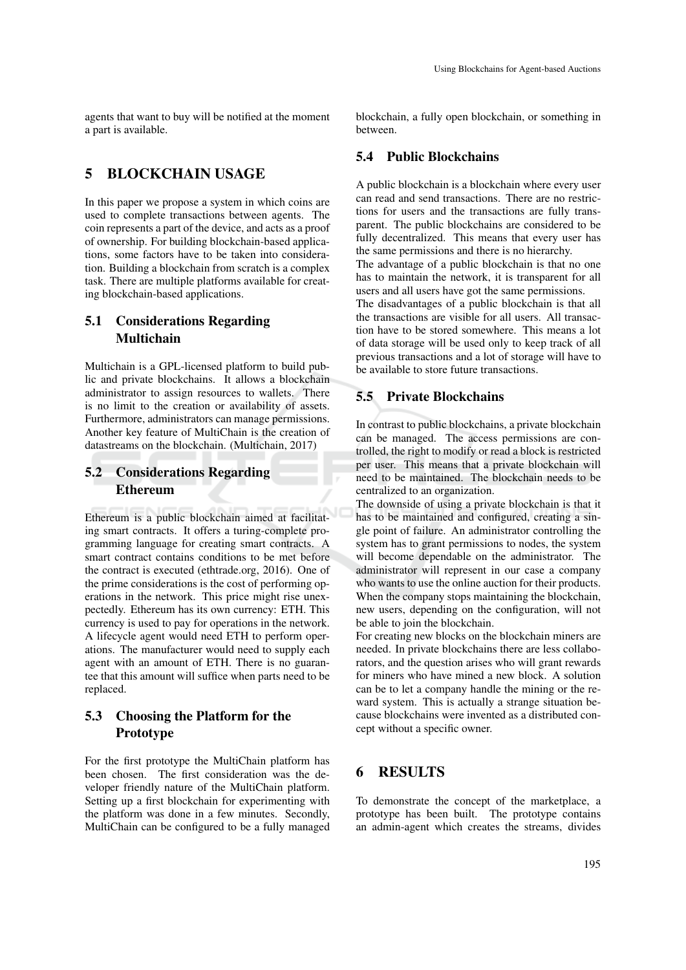agents that want to buy will be notified at the moment a part is available.

# 5 BLOCKCHAIN USAGE

In this paper we propose a system in which coins are used to complete transactions between agents. The coin represents a part of the device, and acts as a proof of ownership. For building blockchain-based applications, some factors have to be taken into consideration. Building a blockchain from scratch is a complex task. There are multiple platforms available for creating blockchain-based applications.

## 5.1 Considerations Regarding Multichain

Multichain is a GPL-licensed platform to build public and private blockchains. It allows a blockchain administrator to assign resources to wallets. There is no limit to the creation or availability of assets. Furthermore, administrators can manage permissions. Another key feature of MultiChain is the creation of datastreams on the blockchain. (Multichain, 2017)

# 5.2 Considerations Regarding Ethereum

Ethereum is a public blockchain aimed at facilitating smart contracts. It offers a turing-complete programming language for creating smart contracts. A smart contract contains conditions to be met before the contract is executed (ethtrade.org, 2016). One of the prime considerations is the cost of performing operations in the network. This price might rise unexpectedly. Ethereum has its own currency: ETH. This currency is used to pay for operations in the network. A lifecycle agent would need ETH to perform operations. The manufacturer would need to supply each agent with an amount of ETH. There is no guarantee that this amount will suffice when parts need to be replaced.

## 5.3 Choosing the Platform for the Prototype

For the first prototype the MultiChain platform has been chosen. The first consideration was the developer friendly nature of the MultiChain platform. Setting up a first blockchain for experimenting with the platform was done in a few minutes. Secondly, MultiChain can be configured to be a fully managed

blockchain, a fully open blockchain, or something in between.

### 5.4 Public Blockchains

A public blockchain is a blockchain where every user can read and send transactions. There are no restrictions for users and the transactions are fully transparent. The public blockchains are considered to be fully decentralized. This means that every user has the same permissions and there is no hierarchy.

The advantage of a public blockchain is that no one has to maintain the network, it is transparent for all users and all users have got the same permissions.

The disadvantages of a public blockchain is that all the transactions are visible for all users. All transaction have to be stored somewhere. This means a lot of data storage will be used only to keep track of all previous transactions and a lot of storage will have to be available to store future transactions.

### 5.5 Private Blockchains

In contrast to public blockchains, a private blockchain can be managed. The access permissions are controlled, the right to modify or read a block is restricted per user. This means that a private blockchain will need to be maintained. The blockchain needs to be centralized to an organization.

The downside of using a private blockchain is that it has to be maintained and configured, creating a single point of failure. An administrator controlling the system has to grant permissions to nodes, the system will become dependable on the administrator. The administrator will represent in our case a company who wants to use the online auction for their products. When the company stops maintaining the blockchain, new users, depending on the configuration, will not be able to join the blockchain.

For creating new blocks on the blockchain miners are needed. In private blockchains there are less collaborators, and the question arises who will grant rewards for miners who have mined a new block. A solution can be to let a company handle the mining or the reward system. This is actually a strange situation because blockchains were invented as a distributed concept without a specific owner.

### 6 RESULTS

To demonstrate the concept of the marketplace, a prototype has been built. The prototype contains an admin-agent which creates the streams, divides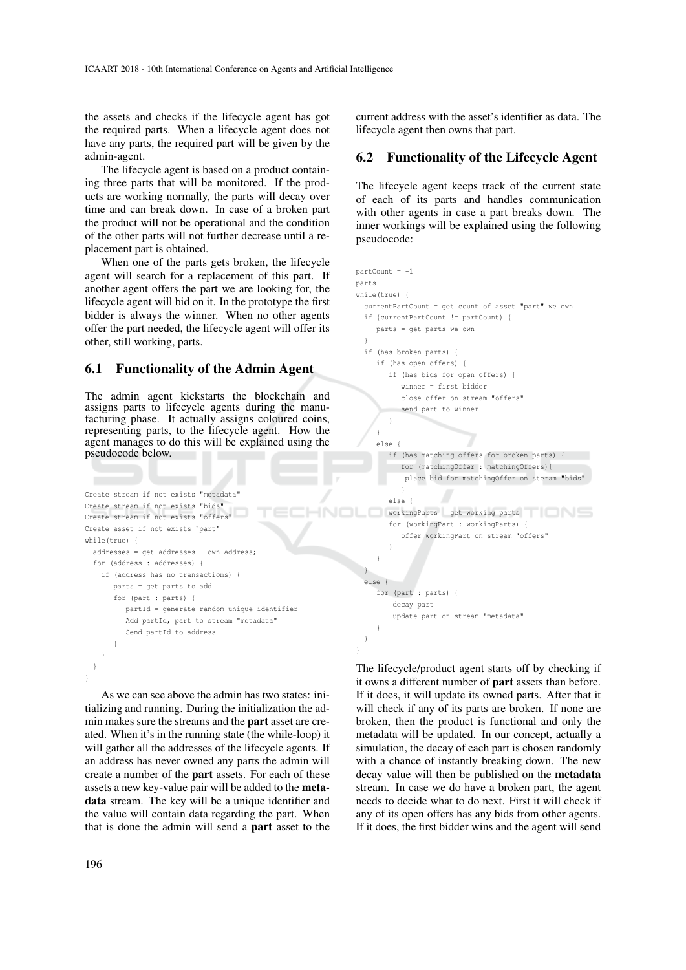the assets and checks if the lifecycle agent has got the required parts. When a lifecycle agent does not have any parts, the required part will be given by the admin-agent.

The lifecycle agent is based on a product containing three parts that will be monitored. If the products are working normally, the parts will decay over time and can break down. In case of a broken part the product will not be operational and the condition of the other parts will not further decrease until a replacement part is obtained.

When one of the parts gets broken, the lifecycle agent will search for a replacement of this part. If another agent offers the part we are looking for, the lifecycle agent will bid on it. In the prototype the first bidder is always the winner. When no other agents offer the part needed, the lifecycle agent will offer its other, still working, parts.

#### 6.1 Functionality of the Admin Agent

The admin agent kickstarts the blockchain and assigns parts to lifecycle agents during the manufacturing phase. It actually assigns coloured coins, representing parts, to the lifecycle agent. How the agent manages to do this will be explained using the pseudocode below.

```
Create stream if not exists "metadata"
Create stream if not exists "bids"
Create stream if not exists "offers"
Create asset if not exists "part"
while(true) {
  addresses = get addresses - own address;
  for (address : addresses) {
    if (address has no transactions) {
       parts = get parts to add
       for (part : parts) {
          partId = generate random unique identifier
          Add partId, part to stream "metadata"
          Send partId to address
       }
    }
  }
```
As we can see above the admin has two states: initializing and running. During the initialization the admin makes sure the streams and the part asset are created. When it's in the running state (the while-loop) it will gather all the addresses of the lifecycle agents. If an address has never owned any parts the admin will create a number of the part assets. For each of these assets a new key-value pair will be added to the metadata stream. The key will be a unique identifier and the value will contain data regarding the part. When that is done the admin will send a part asset to the

current address with the asset's identifier as data. The lifecycle agent then owns that part.

## 6.2 Functionality of the Lifecycle Agent

The lifecycle agent keeps track of the current state of each of its parts and handles communication with other agents in case a part breaks down. The inner workings will be explained using the following pseudocode:

```
partCount = -1parts
while(true) {
 currentPartCount = get count of asset "part" we own
  if {currentPartCount != partCount) {
    parts = get parts we own
  }
  if (has broken parts) {
    if (has open offers) {
       if (has bids for open offers) {
          winner = first bidder
          close offer on stream "offers"
          send part to winner
       }
     }
     else {
       if (has matching offers for broken parts) {
          for (matchingOffer : matchingOffers){
           place bid for matchingOffer on steram "bids"
           }
        else {
      workingParts = get working parts
        for (workingPart : workingParts) {
          offer workingPart on stream "offers"
        }
     }
  }
  else {
     for (part : parts) {
        decay part
        update part on stream "metadata"
     }
  }
```
The lifecycle/product agent starts off by checking if it owns a different number of part assets than before. If it does, it will update its owned parts. After that it will check if any of its parts are broken. If none are broken, then the product is functional and only the metadata will be updated. In our concept, actually a simulation, the decay of each part is chosen randomly with a chance of instantly breaking down. The new decay value will then be published on the metadata stream. In case we do have a broken part, the agent needs to decide what to do next. First it will check if any of its open offers has any bids from other agents. If it does, the first bidder wins and the agent will send

}

}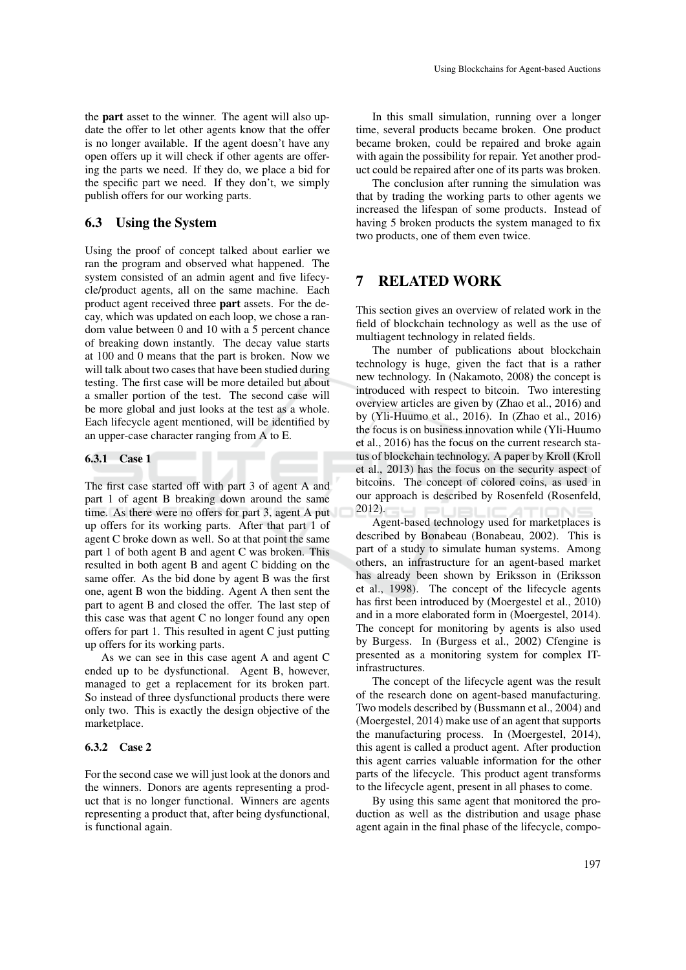the part asset to the winner. The agent will also update the offer to let other agents know that the offer is no longer available. If the agent doesn't have any open offers up it will check if other agents are offering the parts we need. If they do, we place a bid for the specific part we need. If they don't, we simply publish offers for our working parts.

### 6.3 Using the System

Using the proof of concept talked about earlier we ran the program and observed what happened. The system consisted of an admin agent and five lifecycle/product agents, all on the same machine. Each product agent received three part assets. For the decay, which was updated on each loop, we chose a random value between 0 and 10 with a 5 percent chance of breaking down instantly. The decay value starts at 100 and 0 means that the part is broken. Now we will talk about two cases that have been studied during testing. The first case will be more detailed but about a smaller portion of the test. The second case will be more global and just looks at the test as a whole. Each lifecycle agent mentioned, will be identified by an upper-case character ranging from A to E.

#### 6.3.1 Case 1

The first case started off with part 3 of agent A and part 1 of agent B breaking down around the same time. As there were no offers for part 3, agent A put up offers for its working parts. After that part 1 of agent C broke down as well. So at that point the same part 1 of both agent B and agent C was broken. This resulted in both agent B and agent C bidding on the same offer. As the bid done by agent B was the first one, agent B won the bidding. Agent A then sent the part to agent B and closed the offer. The last step of this case was that agent C no longer found any open offers for part 1. This resulted in agent C just putting up offers for its working parts.

As we can see in this case agent A and agent C ended up to be dysfunctional. Agent B, however, managed to get a replacement for its broken part. So instead of three dysfunctional products there were only two. This is exactly the design objective of the marketplace.

#### 6.3.2 Case 2

For the second case we will just look at the donors and the winners. Donors are agents representing a product that is no longer functional. Winners are agents representing a product that, after being dysfunctional, is functional again.

In this small simulation, running over a longer time, several products became broken. One product became broken, could be repaired and broke again with again the possibility for repair. Yet another product could be repaired after one of its parts was broken.

The conclusion after running the simulation was that by trading the working parts to other agents we increased the lifespan of some products. Instead of having 5 broken products the system managed to fix two products, one of them even twice.

### 7 RELATED WORK

This section gives an overview of related work in the field of blockchain technology as well as the use of multiagent technology in related fields.

The number of publications about blockchain technology is huge, given the fact that is a rather new technology. In (Nakamoto, 2008) the concept is introduced with respect to bitcoin. Two interesting overview articles are given by (Zhao et al., 2016) and by (Yli-Huumo et al., 2016). In (Zhao et al., 2016) the focus is on business innovation while (Yli-Huumo et al., 2016) has the focus on the current research status of blockchain technology. A paper by Kroll (Kroll et al., 2013) has the focus on the security aspect of bitcoins. The concept of colored coins, as used in our approach is described by Rosenfeld (Rosenfeld, 2012).

Agent-based technology used for marketplaces is described by Bonabeau (Bonabeau, 2002). This is part of a study to simulate human systems. Among others, an infrastructure for an agent-based market has already been shown by Eriksson in (Eriksson et al., 1998). The concept of the lifecycle agents has first been introduced by (Moergestel et al., 2010) and in a more elaborated form in (Moergestel, 2014). The concept for monitoring by agents is also used by Burgess. In (Burgess et al., 2002) Cfengine is presented as a monitoring system for complex ITinfrastructures.

The concept of the lifecycle agent was the result of the research done on agent-based manufacturing. Two models described by (Bussmann et al., 2004) and (Moergestel, 2014) make use of an agent that supports the manufacturing process. In (Moergestel, 2014), this agent is called a product agent. After production this agent carries valuable information for the other parts of the lifecycle. This product agent transforms to the lifecycle agent, present in all phases to come.

By using this same agent that monitored the production as well as the distribution and usage phase agent again in the final phase of the lifecycle, compo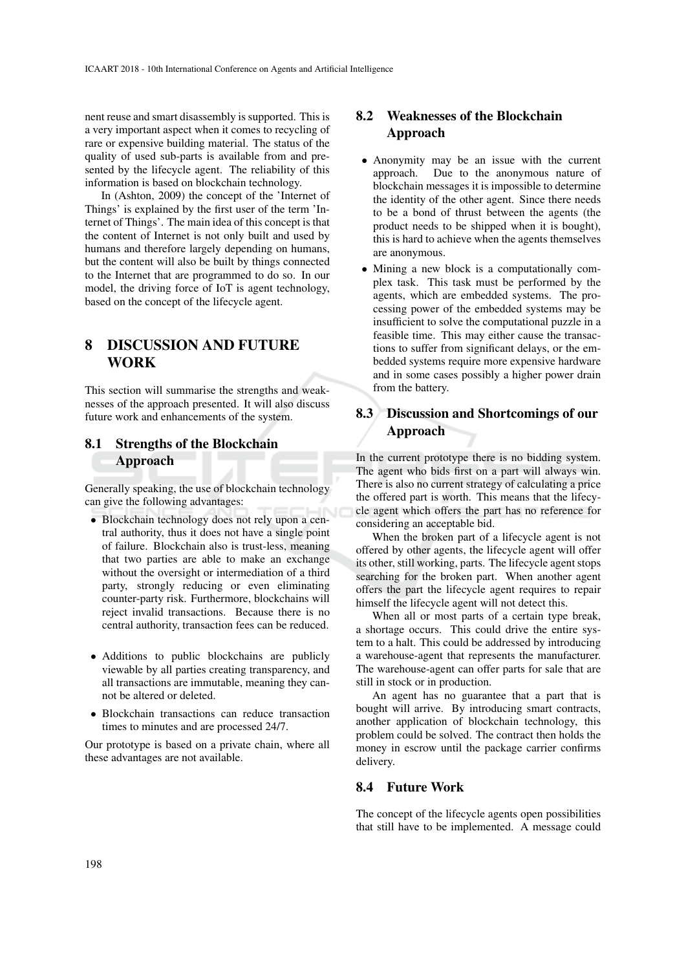nent reuse and smart disassembly is supported. This is a very important aspect when it comes to recycling of rare or expensive building material. The status of the quality of used sub-parts is available from and presented by the lifecycle agent. The reliability of this information is based on blockchain technology.

In (Ashton, 2009) the concept of the 'Internet of Things' is explained by the first user of the term 'Internet of Things'. The main idea of this concept is that the content of Internet is not only built and used by humans and therefore largely depending on humans, but the content will also be built by things connected to the Internet that are programmed to do so. In our model, the driving force of IoT is agent technology, based on the concept of the lifecycle agent.

# 8 DISCUSSION AND FUTURE **WORK**

This section will summarise the strengths and weaknesses of the approach presented. It will also discuss future work and enhancements of the system.

### 8.1 Strengths of the Blockchain Approach

Generally speaking, the use of blockchain technology can give the following advantages:

- Blockchain technology does not rely upon a central authority, thus it does not have a single point of failure. Blockchain also is trust-less, meaning that two parties are able to make an exchange without the oversight or intermediation of a third party, strongly reducing or even eliminating counter-party risk. Furthermore, blockchains will reject invalid transactions. Because there is no central authority, transaction fees can be reduced.
- Additions to public blockchains are publicly viewable by all parties creating transparency, and all transactions are immutable, meaning they cannot be altered or deleted.
- Blockchain transactions can reduce transaction times to minutes and are processed 24/7.

Our prototype is based on a private chain, where all these advantages are not available.

## 8.2 Weaknesses of the Blockchain Approach

- Anonymity may be an issue with the current approach. Due to the anonymous nature of blockchain messages it is impossible to determine the identity of the other agent. Since there needs to be a bond of thrust between the agents (the product needs to be shipped when it is bought), this is hard to achieve when the agents themselves are anonymous.
- Mining a new block is a computationally complex task. This task must be performed by the agents, which are embedded systems. The processing power of the embedded systems may be insufficient to solve the computational puzzle in a feasible time. This may either cause the transactions to suffer from significant delays, or the embedded systems require more expensive hardware and in some cases possibly a higher power drain from the battery.

# 8.3 Discussion and Shortcomings of our Approach

In the current prototype there is no bidding system. The agent who bids first on a part will always win. There is also no current strategy of calculating a price the offered part is worth. This means that the lifecycle agent which offers the part has no reference for considering an acceptable bid.

When the broken part of a lifecycle agent is not offered by other agents, the lifecycle agent will offer its other, still working, parts. The lifecycle agent stops searching for the broken part. When another agent offers the part the lifecycle agent requires to repair himself the lifecycle agent will not detect this.

When all or most parts of a certain type break, a shortage occurs. This could drive the entire system to a halt. This could be addressed by introducing a warehouse-agent that represents the manufacturer. The warehouse-agent can offer parts for sale that are still in stock or in production.

An agent has no guarantee that a part that is bought will arrive. By introducing smart contracts, another application of blockchain technology, this problem could be solved. The contract then holds the money in escrow until the package carrier confirms delivery.

### 8.4 Future Work

The concept of the lifecycle agents open possibilities that still have to be implemented. A message could